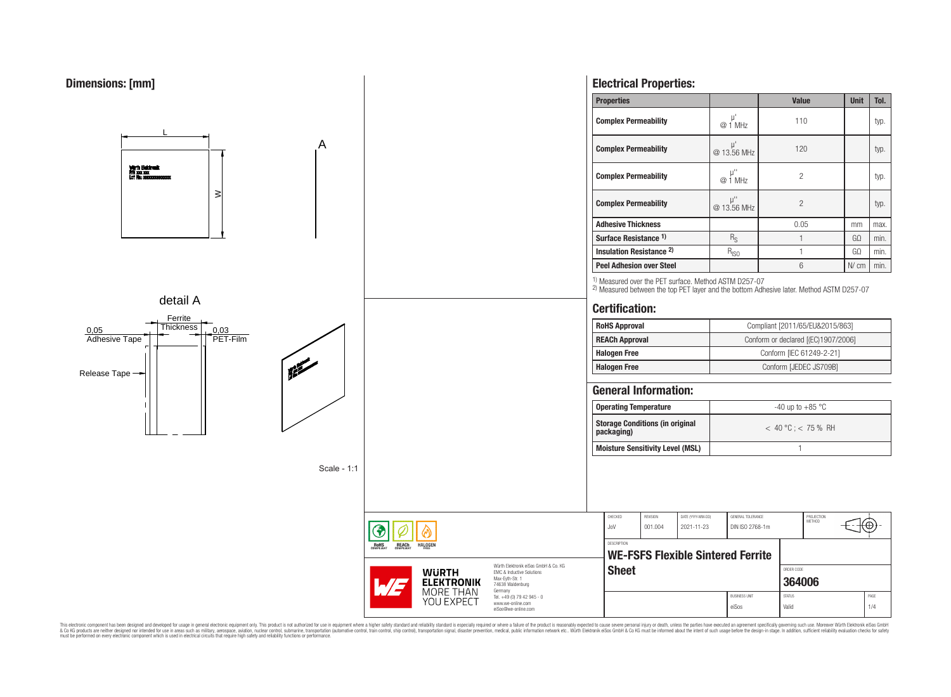

This electronic component has been designed and developed for usage in general electronic equipment only. This product is not authorized for use in equipment where a higher safely standard and reliability standard si espec & Ook product a label and the membed of the seasuch as marked and as which such a membed and the such assume that income in the seasuch and the simulation and the such assume that include to the such a membed and the such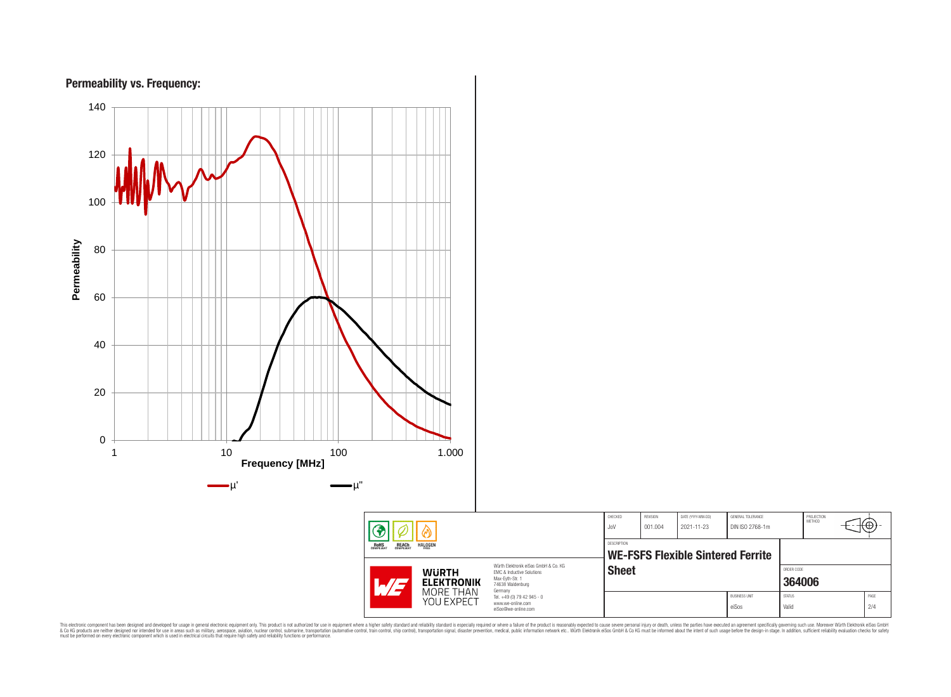

This electronic component has been designed and developed for usage in general electronic equipment only. This product is not authorized for subserved requipment where a higher selection equipment where a higher selection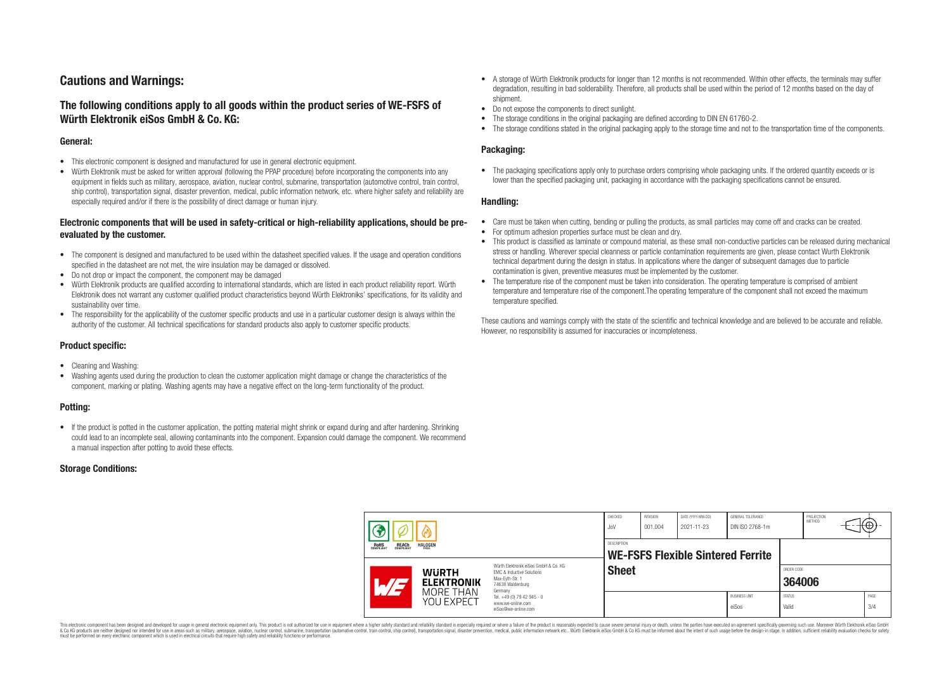# **Cautions and Warnings:**

## **The following conditions apply to all goods within the product series of WE-FSFS of Würth Elektronik eiSos GmbH & Co. KG:**

### **General:**

- This electronic component is designed and manufactured for use in general electronic equipment.
- Würth Elektronik must be asked for written approval (following the PPAP procedure) before incorporating the components into any equipment in fields such as military, aerospace, aviation, nuclear control, submarine, transportation (automotive control, train control, ship control), transportation signal, disaster prevention, medical, public information network, etc. where higher safety and reliability are especially required and/or if there is the possibility of direct damage or human injury.

### **Electronic components that will be used in safety-critical or high-reliability applications, should be preevaluated by the customer.**

- The component is designed and manufactured to be used within the datasheet specified values. If the usage and operation conditions specified in the datasheet are not met, the wire insulation may be damaged or dissolved.
- Do not drop or impact the component, the component may be damaged
- Würth Elektronik products are qualified according to international standards, which are listed in each product reliability report. Würth Elektronik does not warrant any customer qualified product characteristics beyond Würth Elektroniks' specifications, for its validity and sustainability over time.
- The responsibility for the applicability of the customer specific products and use in a particular customer design is always within the authority of the customer. All technical specifications for standard products also apply to customer specific products.

### **Product specific:**

- Cleaning and Washing:
- Washing agents used during the production to clean the customer application might damage or change the characteristics of the component, marking or plating. Washing agents may have a negative effect on the long-term functionality of the product.

### **Potting:**

• If the product is potted in the customer application, the potting material might shrink or expand during and after hardening. Shrinking could lead to an incomplete seal, allowing contaminants into the component. Expansion could damage the component. We recommend a manual inspection after potting to avoid these effects.

### **Storage Conditions:**

- A storage of Würth Elektronik products for longer than 12 months is not recommended. Within other effects, the terminals may suffer degradation, resulting in bad solderability. Therefore, all products shall be used within the period of 12 months based on the day of shipment.
- Do not expose the components to direct sunlight.
- The storage conditions in the original packaging are defined according to DIN EN 61760-2.
- The storage conditions stated in the original packaging apply to the storage time and not to the transportation time of the components.

### **Packaging:**

• The packaging specifications apply only to purchase orders comprising whole packaging units. If the ordered quantity exceeds or is lower than the specified packaging unit, packaging in accordance with the packaging specifications cannot be ensured.

#### **Handling:**

- Care must be taken when cutting, bending or pulling the products, as small particles may come off and cracks can be created.
- For optimum adhesion properties surface must be clean and dry.
- This product is classified as laminate or compound material, as these small non-conductive particles can be released during mechanical stress or handling. Wherever special cleanness or particle contamination requirements are given, please contact Wurth Elektronik technical department during the design in status. In applications where the danger of subsequent damages due to particle contamination is given, preventive measures must be implemented by the customer.
- The temperature rise of the component must be taken into consideration. The operating temperature is comprised of ambient temperature and temperature rise of the component.The operating temperature of the component shall not exceed the maximum temperature specified.

These cautions and warnings comply with the state of the scientific and technical knowledge and are believed to be accurate and reliable. However, no responsibility is assumed for inaccuracies or incompleteness.

|  | 7                                                     |                                                              | CHECKED<br>JoV                                                                                                                                                                                | <b>REVISION</b><br>001.004                       | DATE (YYYY-MM-DD)<br>2021-11-23 | GENERAL TOLERANCE<br>DIN ISO 2768-1m |                               | PROJECTION<br>METHOD   |  | ιΨ |             |
|--|-------------------------------------------------------|--------------------------------------------------------------|-----------------------------------------------------------------------------------------------------------------------------------------------------------------------------------------------|--------------------------------------------------|---------------------------------|--------------------------------------|-------------------------------|------------------------|--|----|-------------|
|  | <b>ROHS</b><br>COMPLIANT<br><b>REACH</b><br>COMPLIANT | <b>HALOGEN</b>                                               |                                                                                                                                                                                               | DESCRIPTION<br>WE-FSFS Flexible Sintered Ferrite |                                 |                                      |                               |                        |  |    |             |
|  |                                                       | <b>WURTH</b><br><b>ELEKTRONIK</b><br>MORE THAN<br>YOU EXPECT | Würth Elektronik eiSos GmbH & Co. KG<br>EMC & Inductive Solutions<br>Max-Eyth-Str. 1<br>74638 Waldenburg<br>Germany<br>Tel. +49 (0) 79 42 945 - 0<br>www.we-online.com<br>eiSos@we-online.com | <b>Sheet</b>                                     |                                 |                                      |                               | ORDER CODE<br>364006   |  |    |             |
|  |                                                       |                                                              |                                                                                                                                                                                               |                                                  |                                 |                                      | <b>BUSINESS UNIT</b><br>eiSos | <b>STATUS</b><br>Valid |  |    | PAGE<br>3/4 |

This electronic component has been designed and developed for usage in general electronic equipment only. This product is not authorized for use in equipment where a higher safety standard and reliability standard si espec & Ook product a label and the membed of the seasuch as marked and as which such a membed and the such assume that income in the seasuch and the simulation and the such assume that include to the such a membed and the such